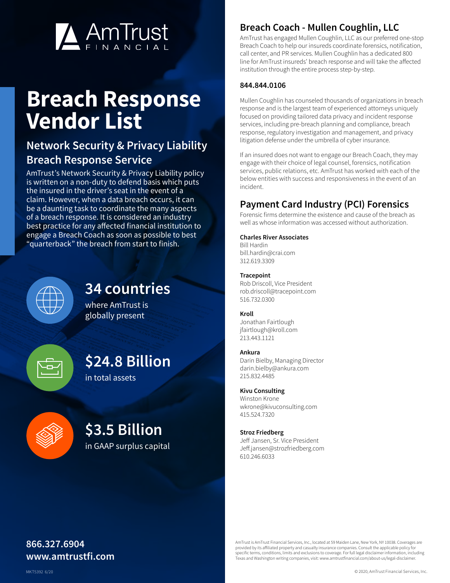

# **Breach Response Vendor List**

## **Network Security & Privacy Liability Breach Response Service**

AmTrust's Network Security & Privacy Liability policy is written on a non-duty to defend basis which puts the insured in the driver's seat in the event of a claim. However, when a data breach occurs, it can be a daunting task to coordinate the many aspects of a breach response. It is considered an industry best practice for any affected financial institution to engage a Breach Coach as soon as possible to best "quarterback" the breach from start to finish.



## **34 countries**

where AmTrust is globally present



# **\$24.8 Billion**

in total assets



## **\$3.5 Billion**

in GAAP surplus capital

## **Breach Coach - Mullen Coughlin, LLC**

AmTrust has engaged Mullen Coughlin, LLC as our preferred one-stop Breach Coach to help our insureds coordinate forensics, notification, call center, and PR services. Mullen Coughlin has a dedicated 800 line for AmTrust insureds' breach response and will take the affected institution through the entire process step-by-step.

#### **844.844.0106**

Mullen Coughlin has counseled thousands of organizations in breach response and is the largest team of experienced attorneys uniquely focused on providing tailored data privacy and incident response services, including pre-breach planning and compliance, breach response, regulatory investigation and management, and privacy litigation defense under the umbrella of cyber insurance.

If an insured does not want to engage our Breach Coach, they may engage with their choice of legal counsel, forensics, notification services, public relations, etc. AmTrust has worked with each of the below entities with success and responsiveness in the event of an incident.

## **Payment Card Industry (PCI) Forensics**

Forensic firms determine the existence and cause of the breach as well as whose information was accessed without authorization.

#### **Charles River Associates**

Bill Hardin bill.hardin@crai.com 312.619.3309

#### **Tracepoint**

Rob Driscoll, Vice President rob.driscoll@tracepoint.com 516.732.0300

#### **Kroll**

Jonathan Fairtlough jfairtlough@kroll.com 213.443.1121

#### **Ankura**

Darin Bielby, Managing Director darin.bielby@ankura.com 215.832.4485

#### **Kivu Consulting**

Winston Krone wkrone@kivuconsulting.com 415.524.7320

#### **Stroz Friedberg**

Jeff Jansen, Sr. Vice President Jeff.jansen@strozfriedberg.com 610.246.6033

## **866.327.6904 www.amtrustfi.com**

AmTrust is AmTrust Financial Services, Inc., located at 59 Maiden Lane, New York, NY 10038. Coverages are provided by its affiliated property and casualty insurance companies. Consult the applicable policy fo specific terms, conditions, limits and exclusions to coverage. For full legal disclaimer information, including Texas and Washington writing companies, visit: www.amtrustfinancial.com/about-us/legal-disclaimer.